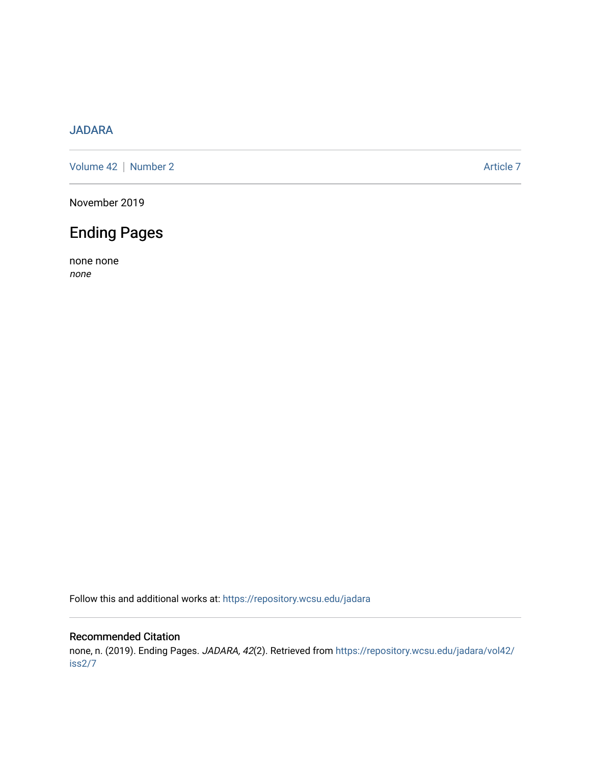#### [JADARA](https://repository.wcsu.edu/jadara)

[Volume 42](https://repository.wcsu.edu/jadara/vol42) | [Number 2](https://repository.wcsu.edu/jadara/vol42/iss2) Article 7

November 2019

## Ending Pages

none none none

Follow this and additional works at: [https://repository.wcsu.edu/jadara](https://repository.wcsu.edu/jadara?utm_source=repository.wcsu.edu%2Fjadara%2Fvol42%2Fiss2%2F7&utm_medium=PDF&utm_campaign=PDFCoverPages)

#### Recommended Citation

none, n. (2019). Ending Pages. JADARA, 42(2). Retrieved from [https://repository.wcsu.edu/jadara/vol42/](https://repository.wcsu.edu/jadara/vol42/iss2/7?utm_source=repository.wcsu.edu%2Fjadara%2Fvol42%2Fiss2%2F7&utm_medium=PDF&utm_campaign=PDFCoverPages) [iss2/7](https://repository.wcsu.edu/jadara/vol42/iss2/7?utm_source=repository.wcsu.edu%2Fjadara%2Fvol42%2Fiss2%2F7&utm_medium=PDF&utm_campaign=PDFCoverPages)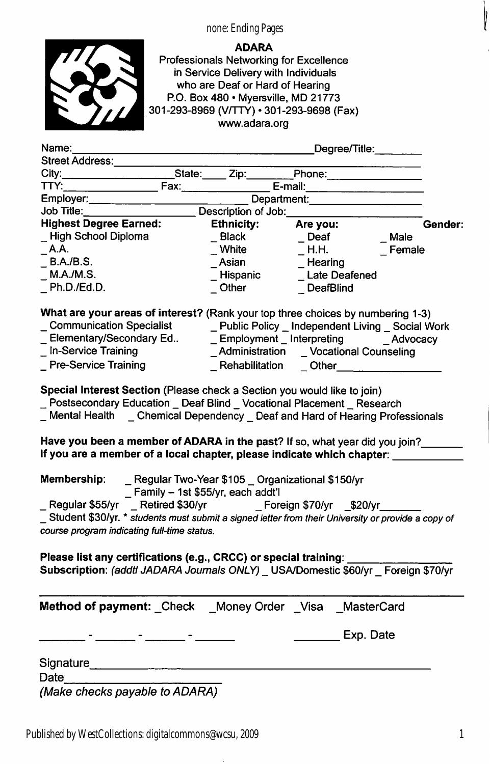#### none: Ending Pages



ADARA Professionals Networking for Excellence in Service Delivery with Individuals who are Deaf or Hard of Hearing P.O. Box 480 • Myersville, MD 21773 301-293-8969 (V/TTY) • 301-293-9698 (Fax) www.adara.org

| Name:                                                                                                                                                                                                                                         |                                     | Degree/Title:                                                                                                                                                                                                                  |         |
|-----------------------------------------------------------------------------------------------------------------------------------------------------------------------------------------------------------------------------------------------|-------------------------------------|--------------------------------------------------------------------------------------------------------------------------------------------------------------------------------------------------------------------------------|---------|
| Street Address:                                                                                                                                                                                                                               |                                     |                                                                                                                                                                                                                                |         |
| City: City: City: City: City: City: City: City: City: City: City: City: City: City: City: City: City: City: City: City: City: City: City: City: City: City: City: City: City: City: City: City: City: City: City: City: City:                 |                                     |                                                                                                                                                                                                                                |         |
| TTY:                                                                                                                                                                                                                                          | Fax:__________________              | E-mail: E-mail: E-mail: E-mail: E-mail: E-mail: E-mail: E-mail: E-mail: E-mail: E-mail: E-mail: E-mail: E-mail: E-mail: E-mail: E-mail: E-mail: E-mail: E-mail: E-mail: E-mail: E-mail: E-mail: E-mail: E-mail: E-mail: E-mail |         |
| Employer:                                                                                                                                                                                                                                     |                                     | Department:                                                                                                                                                                                                                    |         |
| Job Title:                                                                                                                                                                                                                                    | Description of Job:                 |                                                                                                                                                                                                                                |         |
| <b>Highest Degree Earned:</b>                                                                                                                                                                                                                 | <b>Ethnicity:</b>                   | Are you:                                                                                                                                                                                                                       | Gender: |
| _High School Diploma                                                                                                                                                                                                                          | $\_$ Black                          | $\sqrt{ }$ Deaf                                                                                                                                                                                                                | Male    |
| $\_$ A.A.                                                                                                                                                                                                                                     | $\_$ White                          | $\_$ H.H.                                                                                                                                                                                                                      | Female  |
| B.A./B.S.                                                                                                                                                                                                                                     | Asian                               | $\_$ Hearing                                                                                                                                                                                                                   |         |
| M.A./M.S.                                                                                                                                                                                                                                     | Hispanic                            | <b>Late Deafened</b>                                                                                                                                                                                                           |         |
| Ph.D./Ed.D.                                                                                                                                                                                                                                   | $\_$ Other                          | DeafBlind                                                                                                                                                                                                                      |         |
| What are your areas of interest? (Rank your top three choices by numbering 1-3)                                                                                                                                                               |                                     |                                                                                                                                                                                                                                |         |
| _ Communication Specialist _________ Public Policy _ Independent Living _ Social Work                                                                                                                                                         |                                     |                                                                                                                                                                                                                                |         |
| Elementary/Secondary Ed                                                                                                                                                                                                                       |                                     | _ Employment _ Interpreting _______ _ Advocacy                                                                                                                                                                                 |         |
| _In-Service Training                                                                                                                                                                                                                          |                                     | Administration _ Vocational Counseling                                                                                                                                                                                         |         |
| <b>Pre-Service Training</b>                                                                                                                                                                                                                   | _ Rehabilitation                    | Other                                                                                                                                                                                                                          |         |
|                                                                                                                                                                                                                                               |                                     |                                                                                                                                                                                                                                |         |
| _ Mental Health _ Chemical Dependency _ Deaf and Hard of Hearing Professionals<br>Have you been a member of ADARA in the past? If so, what year did you join?<br>If you are a member of a local chapter, please indicate which chapter: _____ |                                     |                                                                                                                                                                                                                                |         |
| Membership:                                                                                                                                                                                                                                   | _ Family - 1st \$55/yr, each addt'l | _ Regular Two-Year \$105 _ Organizational \$150/yr                                                                                                                                                                             |         |
| _ Regular \$55/yr  _ Retired \$30/yr      _ Foreign \$70/yr  _\$20/yr_                                                                                                                                                                        |                                     |                                                                                                                                                                                                                                |         |
| _Student \$30/yr. * students must submit a signed letter from their University or provide a copy of                                                                                                                                           |                                     |                                                                                                                                                                                                                                |         |
| course program indicating full-time status.                                                                                                                                                                                                   |                                     |                                                                                                                                                                                                                                |         |
| Please list any certifications (e.g., CRCC) or special training:<br>Subscription: (addtl JADARA Journals ONLY) _ USA/Domestic \$60/yr _ Foreign \$70/yr                                                                                       |                                     |                                                                                                                                                                                                                                |         |
| Method of payment: _Check __Money Order _Visa __MasterCard                                                                                                                                                                                    |                                     |                                                                                                                                                                                                                                |         |
|                                                                                                                                                                                                                                               |                                     | Exp. Date                                                                                                                                                                                                                      |         |
| Signature_                                                                                                                                                                                                                                    |                                     |                                                                                                                                                                                                                                |         |
| Date                                                                                                                                                                                                                                          |                                     |                                                                                                                                                                                                                                |         |
|                                                                                                                                                                                                                                               |                                     |                                                                                                                                                                                                                                |         |

Published by WestCollections: digitalcommons@wcsu, 2009

Į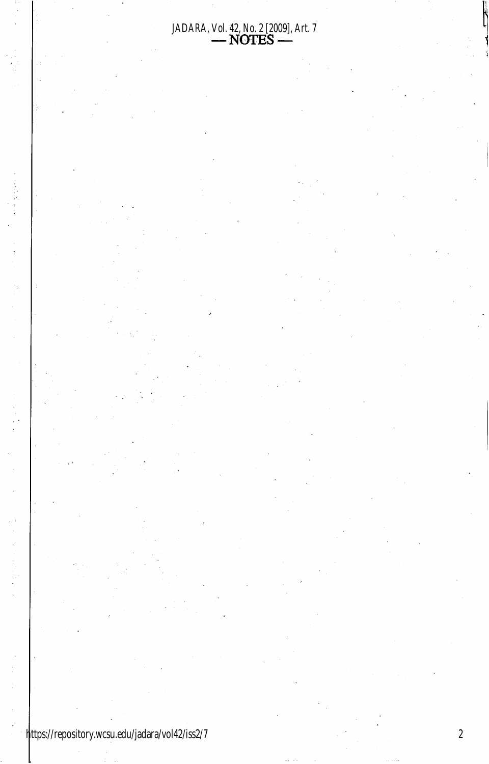# JADARA, Vol. 42, No. 2 [2009], Art. 7<br>- NOTES -

 $\sqrt{2}$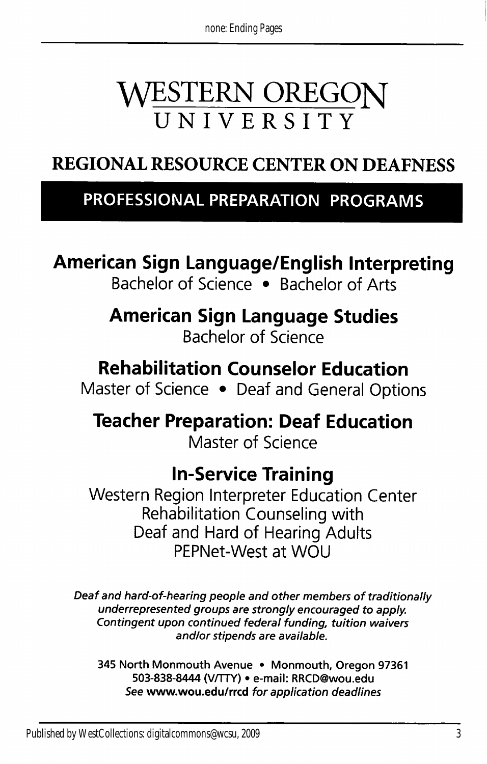# WESTERN OREGON UNIVERSITY

## REGIONAL RESOURCE CENTER ON DEAFNESS

### PROFESSIONAL PREPARATION PROGRAMS

## American Sign Language/English Interpreting

Bachelor of Science • Bachelor of Arts

American Sign Language Studies Bachelor of Science

### Rehabilitation Counselor Education

Master of Science • Deaf and General Options

Teacher Preparation: Deaf Education Master of Science

### In-Service Training

Western Region Interpreter Education Center Rehabilitation Counseling with Deaf and Hard of Hearing Adults PEPNet-West at WOU

Deaf and hard-of-hearing people and other members of traditionally underrepresented groups are strongly encouraged to apply Contingent upon continued federal funding, tuition waivers and/or stipends are available.

345 North Monmouth Avenue • Monmouth, Oregon 97361 503-838-8444 (V/TTY) • e-mail: RRCD@wou.edu See www.wou.edu/rrcd for application deadlines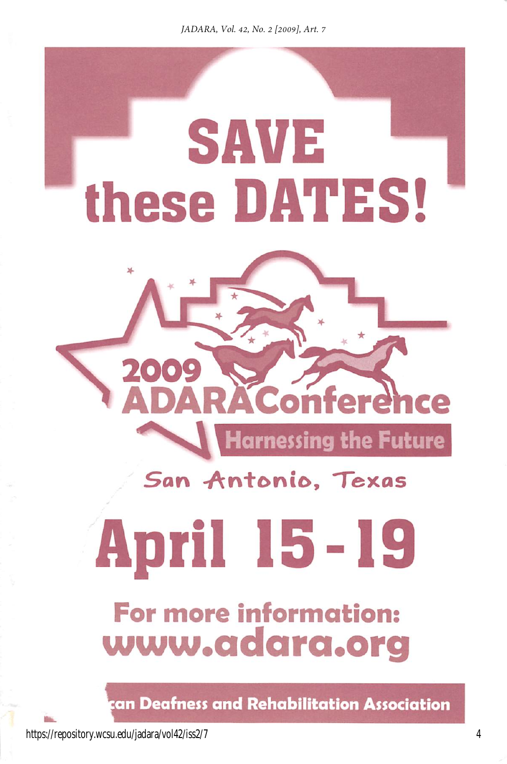